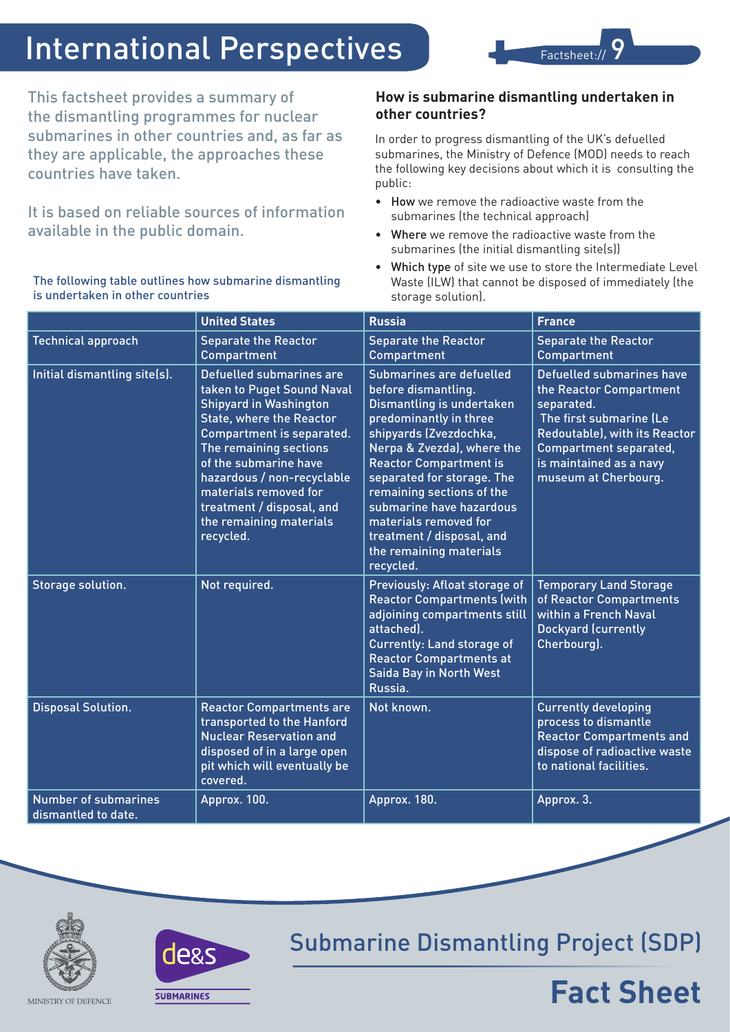# International Perspectives

This factsheet provides a summary of the dismantling programmes for nuclear submarines in other countries and, as far as they are applicable, the approaches these countries have taken.

It is based on reliable sources of information available in the public domain.

The following table outlines how submarine dismantling is undertaken in other countries

#### **How is submarine dismantling undertaken in other countries?**

Factsheet:/

In order to progress dismantling of the UK's defuelled submarines, the Ministry of Defence (MOD) needs to reach the following key decisions about which it is consulting the public:

- How we remove the radioactive waste from the submarines (the technical approach)
- • Where we remove the radioactive waste from the submarines (the initial dismantling site(s))
- Which type of site we use to store the Intermediate Level Waste (ILW) that cannot be disposed of immediately (the storage solution).

|                                                    | <b>United States</b>                                                                                                                                                                                                                                                                                                                   | <b>Russia</b>                                                                                                                                                                                                                                                                                                                                                                        | <b>France</b>                                                                                                                                                                                                      |
|----------------------------------------------------|----------------------------------------------------------------------------------------------------------------------------------------------------------------------------------------------------------------------------------------------------------------------------------------------------------------------------------------|--------------------------------------------------------------------------------------------------------------------------------------------------------------------------------------------------------------------------------------------------------------------------------------------------------------------------------------------------------------------------------------|--------------------------------------------------------------------------------------------------------------------------------------------------------------------------------------------------------------------|
| <b>Technical approach</b>                          | <b>Separate the Reactor</b><br>Compartment                                                                                                                                                                                                                                                                                             | <b>Separate the Reactor</b><br>Compartment                                                                                                                                                                                                                                                                                                                                           | <b>Separate the Reactor</b><br>Compartment                                                                                                                                                                         |
| Initial dismantling site(s).                       | Defuelled submarines are<br>taken to Puget Sound Naval<br><b>Shipyard in Washington</b><br><b>State, where the Reactor</b><br>Compartment is separated.<br>The remaining sections<br>of the submarine have<br>hazardous / non-recyclable<br>materials removed for<br>treatment / disposal, and<br>the remaining materials<br>recycled. | Submarines are defuelled<br>before dismantling.<br>Dismantling is undertaken<br>predominantly in three<br>shipyards (Zvezdochka,<br>Nerpa & Zvezda), where the<br><b>Reactor Compartment is</b><br>separated for storage. The<br>remaining sections of the<br>submarine have hazardous<br>materials removed for<br>treatment / disposal, and<br>the remaining materials<br>recycled. | Defuelled submarines have<br>the Reactor Compartment<br>separated.<br>The first submarine (Le<br><b>Redoutable), with its Reactor</b><br>Compartment separated,<br>is maintained as a navy<br>museum at Cherbourg. |
| Storage solution.                                  | Not required.                                                                                                                                                                                                                                                                                                                          | Previously: Afloat storage of<br><b>Reactor Compartments (with</b><br>adjoining compartments still<br>attached).<br>Currently: Land storage of<br><b>Reactor Compartments at</b><br>Saida Bay in North West<br>Russia.                                                                                                                                                               | <b>Temporary Land Storage</b><br>of Reactor Compartments<br>within a French Naval<br><b>Dockyard (currently</b><br>Cherbourg).                                                                                     |
| <b>Disposal Solution.</b>                          | <b>Reactor Compartments are</b><br>transported to the Hanford<br><b>Nuclear Reservation and</b><br>disposed of in a large open<br>pit which will eventually be<br>covered.                                                                                                                                                             | Not known.                                                                                                                                                                                                                                                                                                                                                                           | <b>Currently developing</b><br>process to dismantle<br><b>Reactor Compartments and</b><br>dispose of radioactive waste<br>to national facilities.                                                                  |
| <b>Number of submarines</b><br>dismantled to date. | Approx. 100.                                                                                                                                                                                                                                                                                                                           | Approx. 180.                                                                                                                                                                                                                                                                                                                                                                         | Approx. 3.                                                                                                                                                                                                         |





Submarine Dismantling Project (SDP)

## **Fact Sheet**